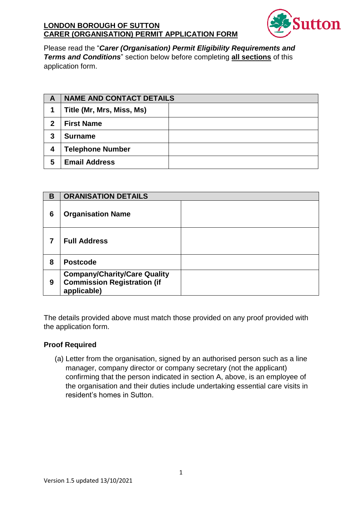

Please read the "Carer (Organisation) Permit Eligibility Requirements and Terms and Conditions" section below before completing all sections of this application form.

| A | <b>NAME AND CONTACT DETAILS</b> |  |
|---|---------------------------------|--|
|   | Title (Mr, Mrs, Miss, Ms)       |  |
| 2 | <b>First Name</b>               |  |
| 3 | <b>Surname</b>                  |  |
| 4 | <b>Telephone Number</b>         |  |
| 5 | <b>Email Address</b>            |  |

| в | <b>ORANISATION DETAILS</b>                                                               |  |
|---|------------------------------------------------------------------------------------------|--|
| 6 | <b>Organisation Name</b>                                                                 |  |
|   | <b>Full Address</b>                                                                      |  |
| 8 | <b>Postcode</b>                                                                          |  |
| 9 | <b>Company/Charity/Care Quality</b><br><b>Commission Registration (if</b><br>applicable) |  |

The details provided above must match those provided on any proof provided with the application form.

#### **Proof Required**

(a) Letter from the organisation, signed by an authorised person such as a line manager, company director or company secretary (not the applicant) confirming that the person indicated in section A, above, is an employee of the organisation and their duties include undertaking essential care visits in resident's homes in Sutton.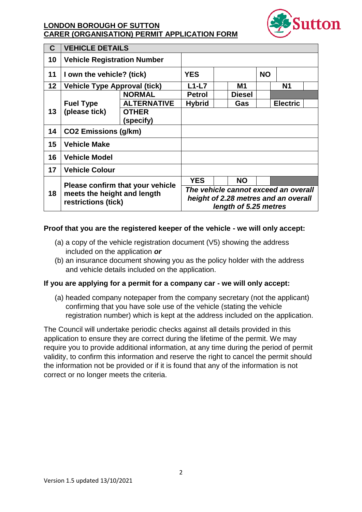

| C               | <b>VEHICLE DETAILS</b>                                                                 |                           |                                                                                                       |  |               |           |                 |  |
|-----------------|----------------------------------------------------------------------------------------|---------------------------|-------------------------------------------------------------------------------------------------------|--|---------------|-----------|-----------------|--|
| 10              | <b>Vehicle Registration Number</b>                                                     |                           |                                                                                                       |  |               |           |                 |  |
| 11              | I own the vehicle? (tick)                                                              |                           | <b>YES</b>                                                                                            |  |               | <b>NO</b> |                 |  |
| 12 <sub>2</sub> | Vehicle Type Approval (tick)                                                           |                           | $L1-L7$                                                                                               |  | M1            |           | <b>N1</b>       |  |
|                 |                                                                                        | <b>NORMAL</b>             | <b>Petrol</b>                                                                                         |  | <b>Diesel</b> |           |                 |  |
|                 | <b>Fuel Type</b>                                                                       | <b>ALTERNATIVE</b>        | <b>Hybrid</b>                                                                                         |  | Gas           |           | <b>Electric</b> |  |
| 13              | (please tick)                                                                          | <b>OTHER</b><br>(specify) |                                                                                                       |  |               |           |                 |  |
| 14              | <b>CO2 Emissions (g/km)</b>                                                            |                           |                                                                                                       |  |               |           |                 |  |
| 15              | <b>Vehicle Make</b>                                                                    |                           |                                                                                                       |  |               |           |                 |  |
| 16              | <b>Vehicle Model</b>                                                                   |                           |                                                                                                       |  |               |           |                 |  |
| 17              | <b>Vehicle Colour</b>                                                                  |                           |                                                                                                       |  |               |           |                 |  |
|                 | Please confirm that your vehicle<br>meets the height and length<br>restrictions (tick) |                           | <b>YES</b>                                                                                            |  | <b>NO</b>     |           |                 |  |
| 18              |                                                                                        |                           | The vehicle cannot exceed an overall<br>height of 2.28 metres and an overall<br>length of 5.25 metres |  |               |           |                 |  |

#### Proof that you are the registered keeper of the vehicle - we will only accept:

- (a) a copy of the vehicle registration document  $(V5)$  showing the address included on the application or
- (b) an insurance document showing you as the policy holder with the address and vehicle details included on the application.

#### If you are applying for a permit for a company car - we will only accept:

(a) headed company notepaper from the company secretary (not the applicant) confirming that you have sole use of the vehicle (stating the vehicle registration number) which is kept at the address included on the application.

The Council will undertake periodic checks against all details provided in this application to ensure they are correct during the lifetime of the permit. We may require you to provide additional information, at any time during the period of permit validity, to confirm this information and reserve the right to cancel the permit should the information not be provided or if it is found that any of the information is not correct or no longer meets the criteria.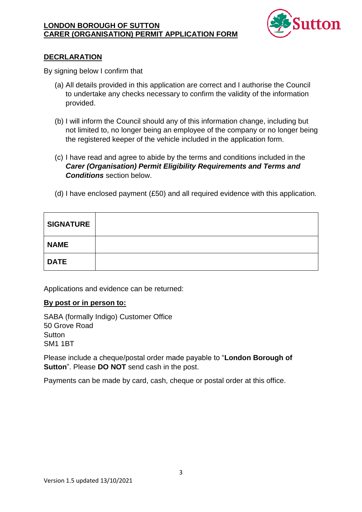

## **DECRLARATION**

By signing below I confirm that

- (a) All details provided in this application are correct and I authorise the Council to undertake any checks necessary to confirm the validity of the information provided.
- (b) I will inform the Council should any of this information change, including but not limited to, no longer being an employee of the company or no longer being the registered keeper of the vehicle included in the application form.
- (c) I have read and agree to abide by the terms and conditions included in the **Carer (Organisation) Permit Eligibility Requirements and Terms and Conditions** section below.
- (d) I have enclosed payment (£50) and all required evidence with this application.

| <b>SIGNATURE</b> |  |
|------------------|--|
| <b>NAME</b>      |  |
| <b>DATE</b>      |  |

Applications and evidence can be returned:

#### By post or in person to:

SABA (formally Indigo) Customer Office 50 Grove Road Sutton **SM1 1BT** 

Please include a cheque/postal order made payable to "London Borough of **Sutton**". Please **DO NOT** send cash in the post.

Payments can be made by card, cash, cheque or postal order at this office.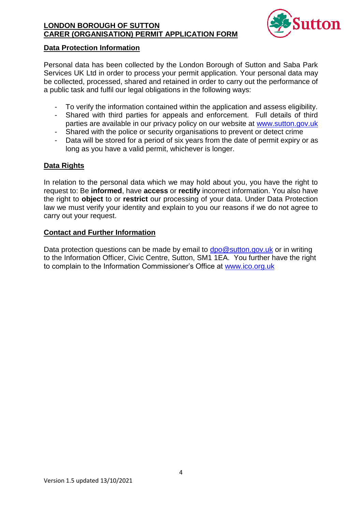

#### **Data Protection Information**

Personal data has been collected by the London Borough of Sutton and Saba Park Services UK Ltd in order to process your permit application. Your personal data may be collected, processed, shared and retained in order to carry out the performance of a public task and fulfil our legal obligations in the following ways:

- To verify the information contained within the application and assess eligibility.
- Shared with third parties for appeals and enforcement. Full details of third parties are available in our privacy policy on our website at www.sutton.gov.uk
- Shared with the police or security organisations to prevent or detect crime  $\omega_{\rm{eff}}$
- Data will be stored for a period of six years from the date of permit expiry or as long as you have a valid permit, whichever is longer.

## **Data Rights**

In relation to the personal data which we may hold about you, you have the right to request to: Be informed, have access or rectify incorrect information. You also have the right to object to or restrict our processing of your data. Under Data Protection law we must verify your identity and explain to you our reasons if we do not agree to carry out your request.

#### **Contact and Further Information**

Data protection questions can be made by email to  $dpo@sutton.gov.uk$  or in writing to the Information Officer, Civic Centre, Sutton, SM1 1EA. You further have the right to complain to the Information Commissioner's Office at www.ico.org.uk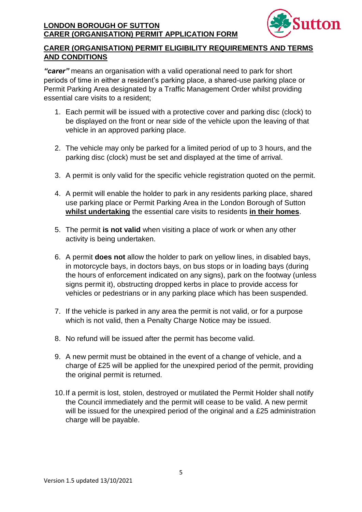

# **CARER (ORGANISATION) PERMIT ELIGIBILITY REQUIREMENTS AND TERMS AND CONDITIONS**

"carer" means an organisation with a valid operational need to park for short periods of time in either a resident's parking place, a shared-use parking place or Permit Parking Area designated by a Traffic Management Order whilst providing essential care visits to a resident;

- 1. Each permit will be issued with a protective cover and parking disc (clock) to be displayed on the front or near side of the vehicle upon the leaving of that vehicle in an approved parking place.
- 2. The vehicle may only be parked for a limited period of up to 3 hours, and the parking disc (clock) must be set and displayed at the time of arrival.
- 3. A permit is only valid for the specific vehicle registration quoted on the permit.
- 4. A permit will enable the holder to park in any residents parking place, shared use parking place or Permit Parking Area in the London Borough of Sutton whilst undertaking the essential care visits to residents in their homes.
- 5. The permit is not valid when visiting a place of work or when any other activity is being undertaken.
- 6. A permit does not allow the holder to park on yellow lines, in disabled bays, in motorcycle bays, in doctors bays, on bus stops or in loading bays (during the hours of enforcement indicated on any signs), park on the footway (unless signs permit it), obstructing dropped kerbs in place to provide access for vehicles or pedestrians or in any parking place which has been suspended.
- 7. If the vehicle is parked in any area the permit is not valid, or for a purpose which is not valid, then a Penalty Charge Notice may be issued.
- 8. No refund will be issued after the permit has become valid.
- 9. A new permit must be obtained in the event of a change of vehicle, and a charge of £25 will be applied for the unexpired period of the permit, providing the original permit is returned.
- 10. If a permit is lost, stolen, destroyed or mutilated the Permit Holder shall notify the Council immediately and the permit will cease to be valid. A new permit will be issued for the unexpired period of the original and a £25 administration charge will be payable.